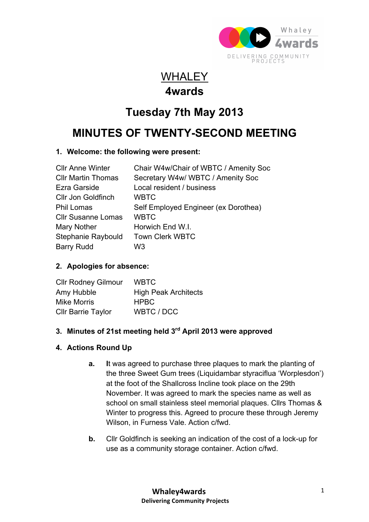

### **WHALEY 4wards**

# **Tuesday 7th May 2013**

## **MINUTES OF TWENTY-SECOND MEETING**

#### **1. Welcome: the following were present:**

| <b>CIIr Anne Winter</b>   | Chair W4w/Chair of WBTC / Amenity Soc |
|---------------------------|---------------------------------------|
| <b>CIIr Martin Thomas</b> | Secretary W4w/ WBTC / Amenity Soc     |
| Ezra Garside              | Local resident / business             |
| <b>CIIr Jon Goldfinch</b> | <b>WBTC</b>                           |
| <b>Phil Lomas</b>         | Self Employed Engineer (ex Dorothea)  |
| <b>Cllr Susanne Lomas</b> | <b>WBTC</b>                           |
| Mary Nother               | Horwich End W.I.                      |
| Stephanie Raybould        | <b>Town Clerk WBTC</b>                |
| <b>Barry Rudd</b>         | W3                                    |

#### **2. Apologies for absence:**

| <b>Cllr Rodney Gilmour</b> | <b>WBTC</b>                 |
|----------------------------|-----------------------------|
| Amy Hubble                 | <b>High Peak Architects</b> |
| <b>Mike Morris</b>         | <b>HPBC</b>                 |
| <b>Cllr Barrie Taylor</b>  | WBTC / DCC                  |

### **3. Minutes of 21st meeting held 3rd April 2013 were approved**

#### **4. Actions Round Up**

- **a. I**t was agreed to purchase three plaques to mark the planting of the three Sweet Gum trees (Liquidambar styraciflua 'Worplesdon') at the foot of the Shallcross Incline took place on the 29th November. It was agreed to mark the species name as well as school on small stainless steel memorial plaques. Cllrs Thomas & Winter to progress this. Agreed to procure these through Jeremy Wilson, in Furness Vale. Action c/fwd.
- **b.** Cllr Goldfinch is seeking an indication of the cost of a lock-up for use as a community storage container. Action c/fwd.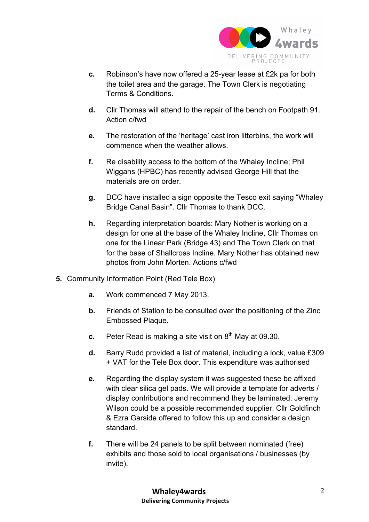

- **c.** Robinson's have now offered a 25-year lease at £2k pa for both the toilet area and the garage. The Town Clerk is negotiating Terms & Conditions.
- **d.** Cllr Thomas will attend to the repair of the bench on Footpath 91. Action c/fwd
- **e.** The restoration of the 'heritage' cast iron litterbins, the work will commence when the weather allows.
- **f.** Re disability access to the bottom of the Whaley Incline; Phil Wiggans (HPBC) has recently advised George Hill that the materials are on order.
- **g.** DCC have installed a sign opposite the Tesco exit saying "Whaley Bridge Canal Basin". Cllr Thomas to thank DCC.
- **h.** Regarding interpretation boards: Mary Nother is working on a design for one at the base of the Whaley Incline, Cllr Thomas on one for the Linear Park (Bridge 43) and The Town Clerk on that for the base of Shallcross Incline. Mary Nother has obtained new photos from John Morten. Actions c/fwd
- **5.** Community Information Point (Red Tele Box)
	- **a.** Work commenced 7 May 2013.
	- **b.** Friends of Station to be consulted over the positioning of the Zinc Embossed Plaque.
	- **c.** Peter Read is making a site visit on 8<sup>th</sup> May at 09.30.
	- **d.** Barry Rudd provided a list of material, including a lock, value £309 + VAT for the Tele Box door. This expenditure was authorised
	- **e.** Regarding the display system it was suggested these be affixed with clear silica gel pads. We will provide a template for adverts / display contributions and recommend they be laminated. Jeremy Wilson could be a possible recommended supplier. Cllr Goldfinch & Ezra Garside offered to follow this up and consider a design standard.
	- **f.** There will be 24 panels to be split between nominated (free) exhibits and those sold to local organisations / businesses (by invite).